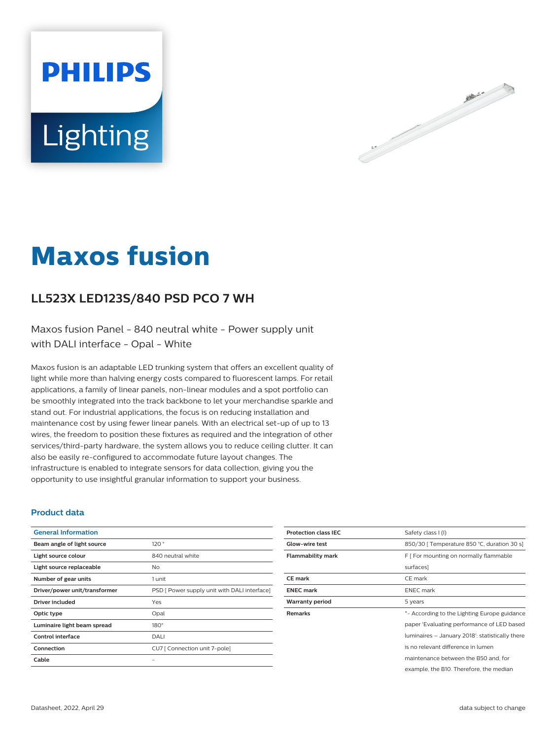# **PHILIPS** Lighting



# **Maxos fusion**

# **LL523X LED123S/840 PSD PCO 7 WH**

Maxos fusion Panel - 840 neutral white - Power supply unit with DALI interface - Opal - White

Maxos fusion is an adaptable LED trunking system that offers an excellent quality of light while more than halving energy costs compared to fluorescent lamps. For retail applications, a family of linear panels, non-linear modules and a spot portfolio can be smoothly integrated into the track backbone to let your merchandise sparkle and stand out. For industrial applications, the focus is on reducing installation and maintenance cost by using fewer linear panels. With an electrical set-up of up to 13 wires, the freedom to position these fixtures as required and the integration of other services/third-party hardware, the system allows you to reduce ceiling clutter. It can also be easily re-configured to accommodate future layout changes. The infrastructure is enabled to integrate sensors for data collection, giving you the opportunity to use insightful granular information to support your business.

### **Product data**

| <b>General Information</b>    |                                              |
|-------------------------------|----------------------------------------------|
| Beam angle of light source    | 120°                                         |
| Light source colour           | 840 neutral white                            |
| Light source replaceable      | No.                                          |
| Number of gear units          | 1 unit                                       |
| Driver/power unit/transformer | PSD [ Power supply unit with DALI interface] |
| Driver included               | Yes                                          |
| Optic type                    | Opal                                         |
| Luminaire light beam spread   | $180^\circ$                                  |
| Control interface             | DALI                                         |
| Connection                    | CU7 [ Connection unit 7-pole]                |
| Cable                         |                                              |

| <b>Protection class IEC</b> | Safety class I (I)                              |
|-----------------------------|-------------------------------------------------|
| Glow-wire test              | 850/30   Temperature 850 °C, duration 30 s]     |
| <b>Flammability mark</b>    | F [ For mounting on normally flammable          |
|                             | surfaces]                                       |
| <b>CE</b> mark              | CE mark                                         |
| <b>ENEC mark</b>            | <b>ENEC</b> mark                                |
| <b>Warranty period</b>      | 5 years                                         |
| <b>Remarks</b>              | *- According to the Lighting Europe guidance    |
|                             | paper 'Evaluating performance of LED based      |
|                             | luminaires - January 2018': statistically there |
|                             | is no relevant difference in lumen              |
|                             | maintenance between the B50 and, for            |
|                             | example, the B10. Therefore, the median         |
|                             |                                                 |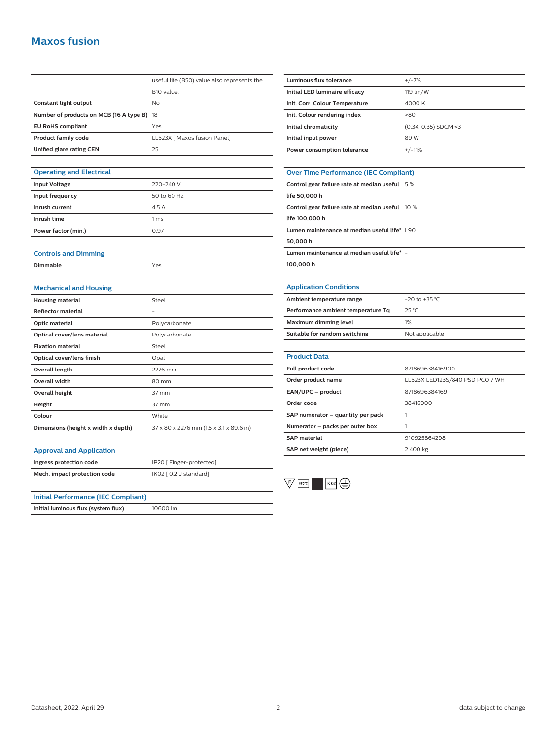# **Maxos fusion**

|                                         | useful life (B50) value also represents the |
|-----------------------------------------|---------------------------------------------|
|                                         | B10 value.                                  |
| Constant light output                   | No                                          |
| Number of products on MCB (16 A type B) | 18                                          |
| <b>EU RoHS compliant</b>                | Yes                                         |
| <b>Product family code</b>              | LL523X [ Maxos fusion Panel]                |
| Unified glare rating CEN                | 25                                          |
|                                         |                                             |
| <b>Operating and Electrical</b>         |                                             |
| <b>Input Voltage</b>                    | 220-240 V                                   |
| Input frequency                         | 50 to 60 Hz                                 |
| Inrush current                          | 4.5 A                                       |
| Inrush time                             | 1 <sub>ms</sub>                             |
| Power factor (min.)                     | 0.97                                        |
|                                         |                                             |
| <b>Controls and Dimming</b>             |                                             |
| Dimmable                                | Yes                                         |
|                                         |                                             |
| <b>Mechanical and Housing</b>           |                                             |
| <b>Housing material</b>                 | Steel                                       |
| <b>Reflector material</b>               |                                             |
| <b>Optic material</b>                   | Polycarbonate                               |
| Optical cover/lens material             | Polycarbonate                               |
| <b>Fixation material</b>                | Steel                                       |
| Optical cover/lens finish               | Opal                                        |
| <b>Overall length</b>                   | 2276 mm                                     |
| <b>Overall width</b>                    | 80 mm                                       |
| <b>Overall height</b>                   | 37 mm                                       |
| Height                                  | 37 mm                                       |
| Colour                                  | White                                       |
| Dimensions (height x width x depth)     | 37 x 80 x 2276 mm (1.5 x 3.1 x 89.6 in)     |
|                                         |                                             |
| <b>Approval and Application</b>         |                                             |
| Ingress protection code                 | IP20 [ Finger-protected]                    |
| Mech. impact protection code            | IK02 [0.2 J standard]                       |

| Luminous flux tolerance        | $+/-7%$                |
|--------------------------------|------------------------|
| Initial LED luminaire efficacy | 119 lm/W               |
| Init. Corr. Colour Temperature | 4000 K                 |
| Init. Colour rendering index   | >80                    |
| Initial chromaticity           | $(0.34. 0.35)$ SDCM <3 |
| Initial input power            | 89 W                   |
| Power consumption tolerance    | $+/-11%$               |
|                                |                        |

#### **Over Time Performance (IEC Compliant)**

| Control gear failure rate at median useful 5%   |                    |
|-------------------------------------------------|--------------------|
| life 50,000 h                                   |                    |
| Control gear failure rate at median useful 10 % |                    |
| life 100,000 h                                  |                    |
| Lumen maintenance at median useful life* L90    |                    |
| 50,000 h                                        |                    |
| Lumen maintenance at median useful life* -      |                    |
| 100,000 h                                       |                    |
|                                                 |                    |
| <b>Application Conditions</b>                   |                    |
| Ambient temperature range                       | $-20$ to $+35$ °C. |
| Performance ambient temperature Tq              | $25^{\circ}$ C     |
| Maximum dimming level                           | 1%                 |
| Suitable for random switching                   | Not applicable     |

#### **Product Data**

| Full product code                 | 871869638416900                 |
|-----------------------------------|---------------------------------|
| Order product name                | LL523X LED123S/840 PSD PCO 7 WH |
| EAN/UPC - product                 | 8718696384169                   |
| Order code                        | 38416900                        |
| SAP numerator - quantity per pack |                                 |
| Numerator - packs per outer box   |                                 |
| <b>SAP</b> material               | 910925864298                    |
| SAP net weight (piece)            | 2.400 kg                        |
|                                   |                                 |



**Initial Performance (IEC Compliant)**

**Initial luminous flux (system flux)** 10600 lm